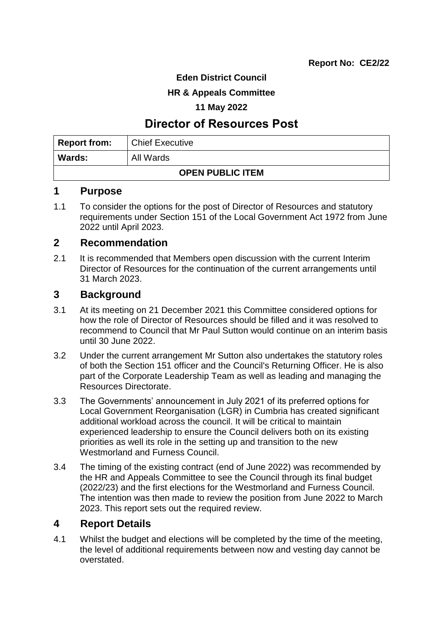**Eden District Council**

### **HR & Appeals Committee**

#### **11 May 2022**

# **Director of Resources Post**

| <b>Report from:</b>     | <b>Chief Executive</b> |  |  |
|-------------------------|------------------------|--|--|
| <b>Wards:</b>           | All Wards              |  |  |
| <b>OPEN PUBLIC ITEM</b> |                        |  |  |

#### **1 Purpose**

1.1 To consider the options for the post of Director of Resources and statutory requirements under Section 151 of the Local Government Act 1972 from June 2022 until April 2023.

## **2 Recommendation**

2.1 It is recommended that Members open discussion with the current Interim Director of Resources for the continuation of the current arrangements until 31 March 2023.

## **3 Background**

- 3.1 At its meeting on 21 December 2021 this Committee considered options for how the role of Director of Resources should be filled and it was resolved to recommend to Council that Mr Paul Sutton would continue on an interim basis until 30 June 2022.
- 3.2 Under the current arrangement Mr Sutton also undertakes the statutory roles of both the Section 151 officer and the Council's Returning Officer. He is also part of the Corporate Leadership Team as well as leading and managing the Resources Directorate.
- 3.3 The Governments' announcement in July 2021 of its preferred options for Local Government Reorganisation (LGR) in Cumbria has created significant additional workload across the council. It will be critical to maintain experienced leadership to ensure the Council delivers both on its existing priorities as well its role in the setting up and transition to the new Westmorland and Furness Council.
- 3.4 The timing of the existing contract (end of June 2022) was recommended by the HR and Appeals Committee to see the Council through its final budget (2022/23) and the first elections for the Westmorland and Furness Council. The intention was then made to review the position from June 2022 to March 2023. This report sets out the required review.

## **4 Report Details**

4.1 Whilst the budget and elections will be completed by the time of the meeting, the level of additional requirements between now and vesting day cannot be overstated.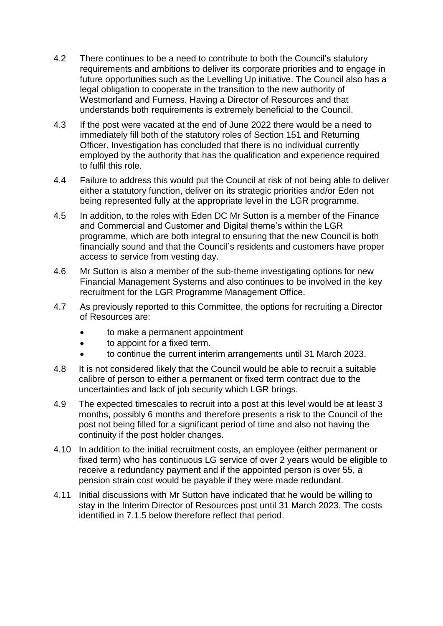- 4.2 There continues to be a need to contribute to both the Council's statutory requirements and ambitions to deliver its corporate priorities and to engage in future opportunities such as the Levelling Up initiative. The Council also has a legal obligation to cooperate in the transition to the new authority of Westmorland and Furness. Having a Director of Resources and that understands both requirements is extremely beneficial to the Council.
- 4.3 If the post were vacated at the end of June 2022 there would be a need to immediately fill both of the statutory roles of Section 151 and Returning Officer. Investigation has concluded that there is no individual currently employed by the authority that has the qualification and experience required to fulfil this role.
- 4.4 Failure to address this would put the Council at risk of not being able to deliver either a statutory function, deliver on its strategic priorities and/or Eden not being represented fully at the appropriate level in the LGR programme.
- 4.5 In addition, to the roles with Eden DC Mr Sutton is a member of the Finance and Commercial and Customer and Digital theme's within the LGR programme, which are both integral to ensuring that the new Council is both financially sound and that the Council's residents and customers have proper access to service from vesting day.
- 4.6 Mr Sutton is also a member of the sub-theme investigating options for new Financial Management Systems and also continues to be involved in the key recruitment for the LGR Programme Management Office.
- 4.7 As previously reported to this Committee, the options for recruiting a Director of Resources are:
	- to make a permanent appointment
	- to appoint for a fixed term.
	- to continue the current interim arrangements until 31 March 2023.
- 4.8 It is not considered likely that the Council would be able to recruit a suitable calibre of person to either a permanent or fixed term contract due to the uncertainties and lack of job security which LGR brings.
- 4.9 The expected timescales to recruit into a post at this level would be at least 3 months, possibly 6 months and therefore presents a risk to the Council of the post not being filled for a significant period of time and also not having the continuity if the post holder changes.
- 4.10 In addition to the initial recruitment costs, an employee (either permanent or fixed term) who has continuous LG service of over 2 years would be eligible to receive a redundancy payment and if the appointed person is over 55, a pension strain cost would be payable if they were made redundant.
- 4.11 Initial discussions with Mr Sutton have indicated that he would be willing to stay in the Interim Director of Resources post until 31 March 2023. The costs identified in 7.1.5 below therefore reflect that period.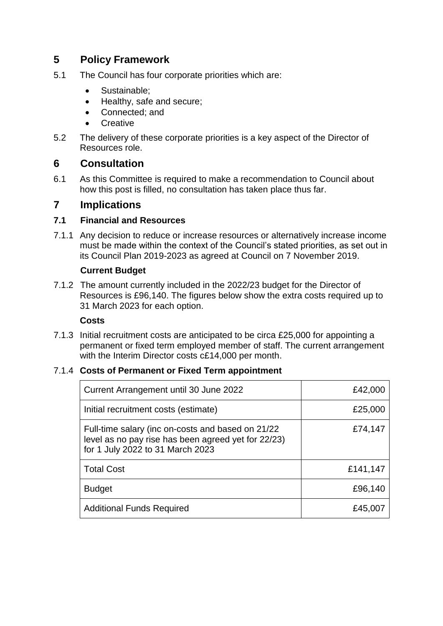# **5 Policy Framework**

- 5.1 The Council has four corporate priorities which are:
	- Sustainable:
	- Healthy, safe and secure;
	- Connected: and
	- **Creative**
- 5.2 The delivery of these corporate priorities is a key aspect of the Director of Resources role.

## **6 Consultation**

6.1 As this Committee is required to make a recommendation to Council about how this post is filled, no consultation has taken place thus far.

## **7 Implications**

#### **7.1 Financial and Resources**

7.1.1 Any decision to reduce or increase resources or alternatively increase income must be made within the context of the Council's stated priorities, as set out in its Council Plan 2019-2023 as agreed at Council on 7 November 2019.

#### **Current Budget**

7.1.2 The amount currently included in the 2022/23 budget for the Director of Resources is £96,140. The figures below show the extra costs required up to 31 March 2023 for each option.

#### **Costs**

7.1.3 Initial recruitment costs are anticipated to be circa £25,000 for appointing a permanent or fixed term employed member of staff. The current arrangement with the Interim Director costs c£14,000 per month.

## 7.1.4 **Costs of Permanent or Fixed Term appointment**

| Current Arrangement until 30 June 2022                                                                                                       | £42,000  |
|----------------------------------------------------------------------------------------------------------------------------------------------|----------|
| Initial recruitment costs (estimate)                                                                                                         | £25,000  |
| Full-time salary (inc on-costs and based on 21/22<br>level as no pay rise has been agreed yet for 22/23)<br>for 1 July 2022 to 31 March 2023 | £74,147  |
| <b>Total Cost</b>                                                                                                                            | £141,147 |
| <b>Budget</b>                                                                                                                                | £96,140  |
| <b>Additional Funds Required</b>                                                                                                             | £45,007  |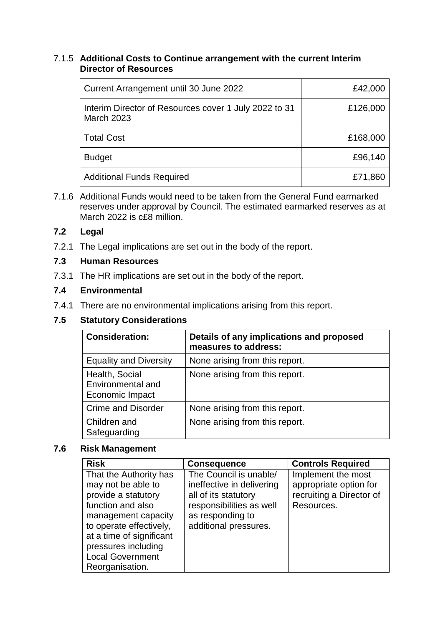#### 7.1.5 **Additional Costs to Continue arrangement with the current Interim Director of Resources**

| Current Arrangement until 30 June 2022                                     | £42,000  |
|----------------------------------------------------------------------------|----------|
| Interim Director of Resources cover 1 July 2022 to 31<br><b>March 2023</b> | £126,000 |
| <b>Total Cost</b>                                                          | £168,000 |
| <b>Budget</b>                                                              | £96,140  |
| <b>Additional Funds Required</b>                                           | £71,860  |

7.1.6 Additional Funds would need to be taken from the General Fund earmarked reserves under approval by Council. The estimated earmarked reserves as at March 2022 is c£8 million.

#### **7.2 Legal**

7.2.1 The Legal implications are set out in the body of the report.

#### **7.3 Human Resources**

7.3.1 The HR implications are set out in the body of the report.

#### **7.4 Environmental**

7.4.1 There are no environmental implications arising from this report.

## **7.5 Statutory Considerations**

| <b>Consideration:</b>                                  | Details of any implications and proposed<br>measures to address: |
|--------------------------------------------------------|------------------------------------------------------------------|
| <b>Equality and Diversity</b>                          | None arising from this report.                                   |
| Health, Social<br>Environmental and<br>Economic Impact | None arising from this report.                                   |
| <b>Crime and Disorder</b>                              | None arising from this report.                                   |
| Children and<br>Safeguarding                           | None arising from this report.                                   |

#### **7.6 Risk Management**

| <b>Risk</b>                                                                                                                                                                                                                                 | <b>Consequence</b>                                                                                                                                   | <b>Controls Required</b>                                                               |
|---------------------------------------------------------------------------------------------------------------------------------------------------------------------------------------------------------------------------------------------|------------------------------------------------------------------------------------------------------------------------------------------------------|----------------------------------------------------------------------------------------|
| That the Authority has<br>may not be able to<br>provide a statutory<br>function and also<br>management capacity<br>to operate effectively,<br>at a time of significant<br>pressures including<br><b>Local Government</b><br>Reorganisation. | The Council is unable/<br>ineffective in delivering<br>all of its statutory<br>responsibilities as well<br>as responding to<br>additional pressures. | Implement the most<br>appropriate option for<br>recruiting a Director of<br>Resources. |